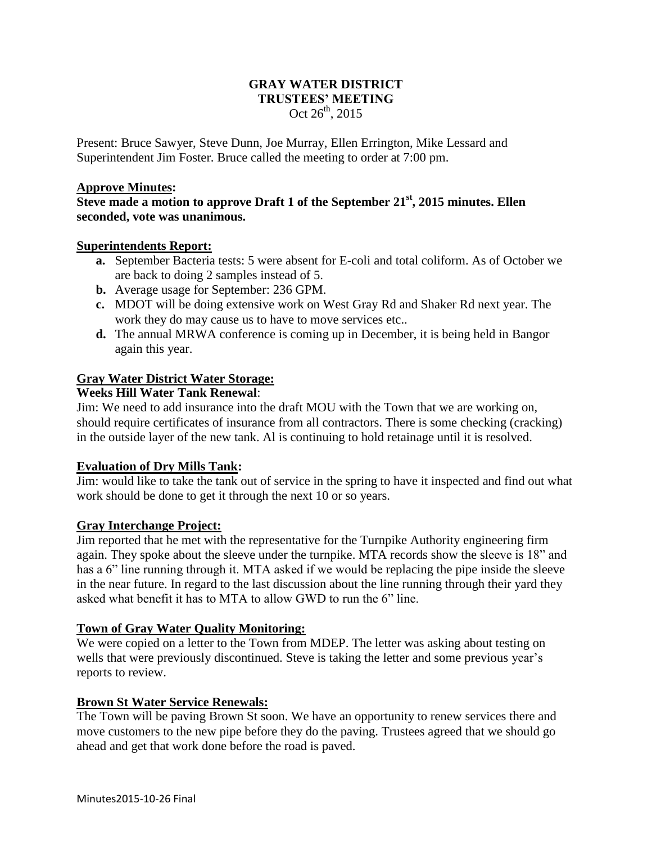## **GRAY WATER DISTRICT TRUSTEES' MEETING** Oct  $26^{th}$ , 2015

Present: Bruce Sawyer, Steve Dunn, Joe Murray, Ellen Errington, Mike Lessard and Superintendent Jim Foster. Bruce called the meeting to order at 7:00 pm.

#### **Approve Minutes:**

**Steve made a motion to approve Draft 1 of the September 21st, 2015 minutes. Ellen seconded, vote was unanimous.**

#### **Superintendents Report:**

- **a.** September Bacteria tests: 5 were absent for E-coli and total coliform. As of October we are back to doing 2 samples instead of 5.
- **b.** Average usage for September: 236 GPM.
- **c.** MDOT will be doing extensive work on West Gray Rd and Shaker Rd next year. The work they do may cause us to have to move services etc..
- **d.** The annual MRWA conference is coming up in December, it is being held in Bangor again this year.

## **Gray Water District Water Storage:**

## **Weeks Hill Water Tank Renewal**:

Jim: We need to add insurance into the draft MOU with the Town that we are working on, should require certificates of insurance from all contractors. There is some checking (cracking) in the outside layer of the new tank. Al is continuing to hold retainage until it is resolved.

## **Evaluation of Dry Mills Tank:**

Jim: would like to take the tank out of service in the spring to have it inspected and find out what work should be done to get it through the next 10 or so years.

## **Gray Interchange Project:**

Jim reported that he met with the representative for the Turnpike Authority engineering firm again. They spoke about the sleeve under the turnpike. MTA records show the sleeve is 18" and has a 6" line running through it. MTA asked if we would be replacing the pipe inside the sleeve in the near future. In regard to the last discussion about the line running through their yard they asked what benefit it has to MTA to allow GWD to run the 6" line.

## **Town of Gray Water Quality Monitoring:**

We were copied on a letter to the Town from MDEP. The letter was asking about testing on wells that were previously discontinued. Steve is taking the letter and some previous year's reports to review.

## **Brown St Water Service Renewals:**

The Town will be paving Brown St soon. We have an opportunity to renew services there and move customers to the new pipe before they do the paving. Trustees agreed that we should go ahead and get that work done before the road is paved.